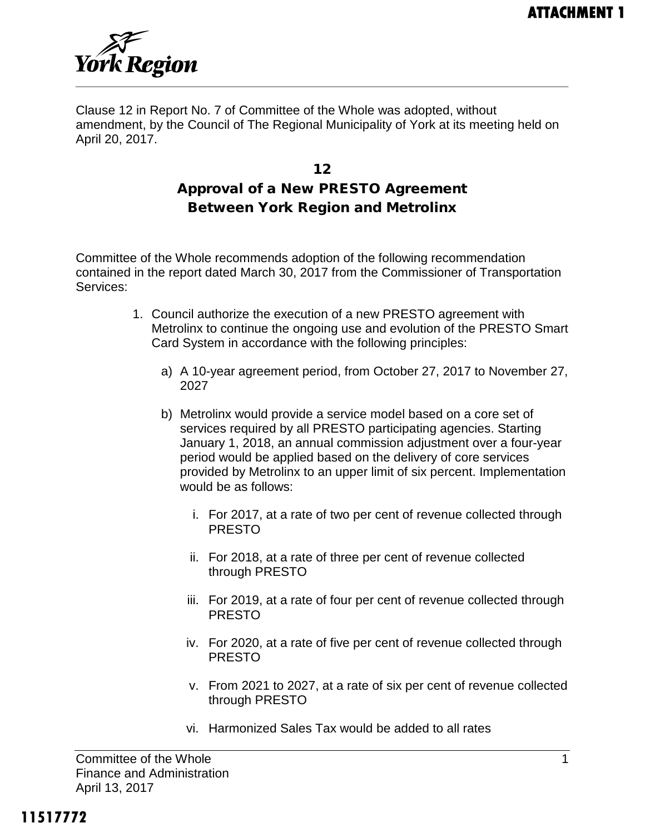

Clause 12 in Report No. 7 of Committee of the Whole was adopted, without amendment, by the Council of The Regional Municipality of York at its meeting held on April 20, 2017.

# 12 Approval of a New PRESTO Agreement Between York Region and Metrolinx

Committee of the Whole recommends adoption of the following recommendation contained in the report dated March 30, 2017 from the Commissioner of Transportation Services:

- 1. Council authorize the execution of a new PRESTO agreement with Metrolinx to continue the ongoing use and evolution of the PRESTO Smart Card System in accordance with the following principles:
	- a) A 10-year agreement period, from October 27, 2017 to November 27, 2027
	- b) Metrolinx would provide a service model based on a core set of services required by all PRESTO participating agencies. Starting January 1, 2018, an annual commission adjustment over a four-year period would be applied based on the delivery of core services provided by Metrolinx to an upper limit of six percent. Implementation would be as follows:
		- i. For 2017, at a rate of two per cent of revenue collected through PRESTO
		- ii. For 2018, at a rate of three per cent of revenue collected through PRESTO
		- iii. For 2019, at a rate of four per cent of revenue collected through PRESTO
		- iv. For 2020, at a rate of five per cent of revenue collected through PRESTO
		- v. From 2021 to 2027, at a rate of six per cent of revenue collected through PRESTO
		- vi. Harmonized Sales Tax would be added to all rates

Committee of the Whole 1 and 1 and 1 and 1 and 1 and 1 and 1 and 1 and 1 and 1 and 1 and 1 and 1 and 1 and 1 and 1 and 1 and 1 and 1 and 1 and 1 and 1 and 1 and 1 and 1 and 1 and 1 and 1 and 1 and 1 and 1 and 1 and 1 and 1 Finance and Administration April 13, 2017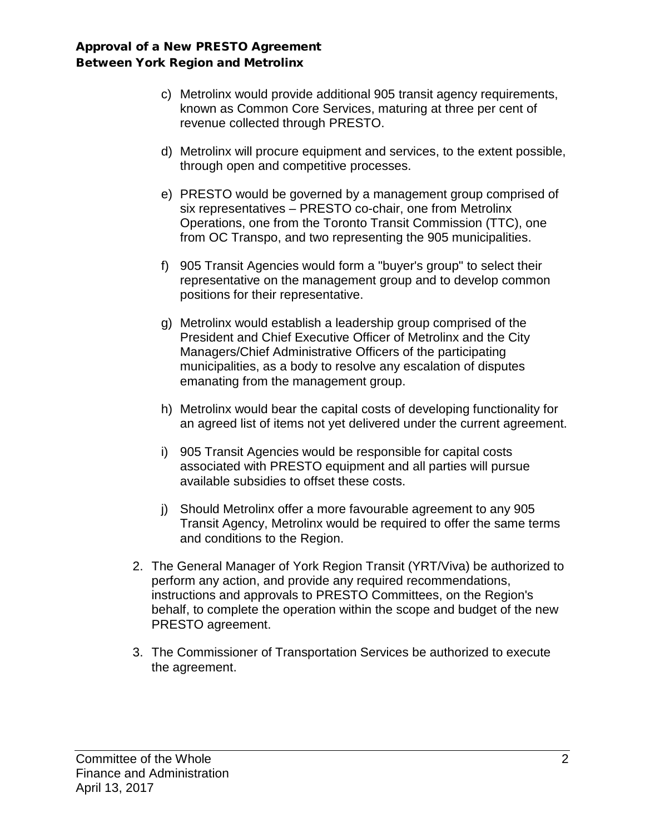- c) Metrolinx would provide additional 905 transit agency requirements, known as Common Core Services, maturing at three per cent of revenue collected through PRESTO.
- d) Metrolinx will procure equipment and services, to the extent possible, through open and competitive processes.
- e) PRESTO would be governed by a management group comprised of six representatives – PRESTO co-chair, one from Metrolinx Operations, one from the Toronto Transit Commission (TTC), one from OC Transpo, and two representing the 905 municipalities.
- f) 905 Transit Agencies would form a "buyer's group" to select their representative on the management group and to develop common positions for their representative.
- g) Metrolinx would establish a leadership group comprised of the President and Chief Executive Officer of Metrolinx and the City Managers/Chief Administrative Officers of the participating municipalities, as a body to resolve any escalation of disputes emanating from the management group.
- h) Metrolinx would bear the capital costs of developing functionality for an agreed list of items not yet delivered under the current agreement.
- i) 905 Transit Agencies would be responsible for capital costs associated with PRESTO equipment and all parties will pursue available subsidies to offset these costs.
- j) Should Metrolinx offer a more favourable agreement to any 905 Transit Agency, Metrolinx would be required to offer the same terms and conditions to the Region.
- 2. The General Manager of York Region Transit (YRT/Viva) be authorized to perform any action, and provide any required recommendations, instructions and approvals to PRESTO Committees, on the Region's behalf, to complete the operation within the scope and budget of the new PRESTO agreement.
- 3. The Commissioner of Transportation Services be authorized to execute the agreement.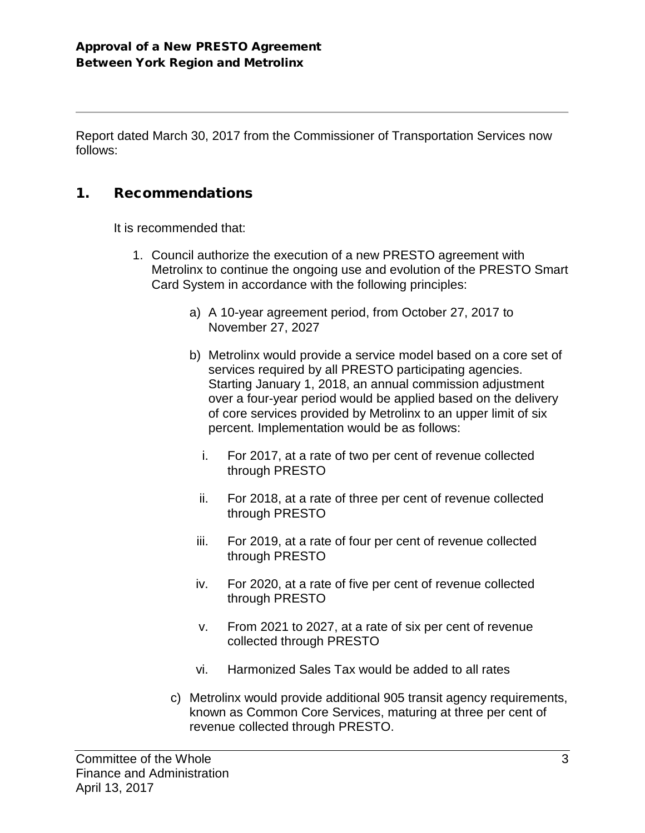Report dated March 30, 2017 from the Commissioner of Transportation Services now follows:

### 1. Recommendations

It is recommended that:

- 1. Council authorize the execution of a new PRESTO agreement with Metrolinx to continue the ongoing use and evolution of the PRESTO Smart Card System in accordance with the following principles:
	- a) A 10-year agreement period, from October 27, 2017 to November 27, 2027
	- b) Metrolinx would provide a service model based on a core set of services required by all PRESTO participating agencies. Starting January 1, 2018, an annual commission adjustment over a four-year period would be applied based on the delivery of core services provided by Metrolinx to an upper limit of six percent. Implementation would be as follows:
		- i. For 2017, at a rate of two per cent of revenue collected through PRESTO
		- ii. For 2018, at a rate of three per cent of revenue collected through PRESTO
	- iii. For 2019, at a rate of four per cent of revenue collected through PRESTO
	- iv. For 2020, at a rate of five per cent of revenue collected through PRESTO
	- v. From 2021 to 2027, at a rate of six per cent of revenue collected through PRESTO
	- vi. Harmonized Sales Tax would be added to all rates
	- c) Metrolinx would provide additional 905 transit agency requirements, known as Common Core Services, maturing at three per cent of revenue collected through PRESTO.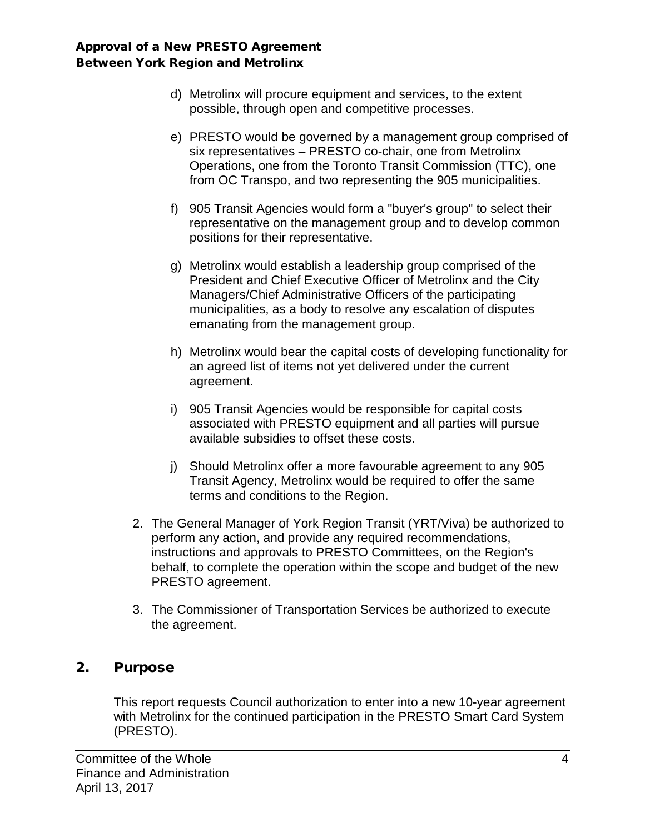- d) Metrolinx will procure equipment and services, to the extent possible, through open and competitive processes.
- e) PRESTO would be governed by a management group comprised of six representatives – PRESTO co-chair, one from Metrolinx Operations, one from the Toronto Transit Commission (TTC), one from OC Transpo, and two representing the 905 municipalities.
- f) 905 Transit Agencies would form a "buyer's group" to select their representative on the management group and to develop common positions for their representative.
- g) Metrolinx would establish a leadership group comprised of the President and Chief Executive Officer of Metrolinx and the City Managers/Chief Administrative Officers of the participating municipalities, as a body to resolve any escalation of disputes emanating from the management group.
- h) Metrolinx would bear the capital costs of developing functionality for an agreed list of items not yet delivered under the current agreement.
- i) 905 Transit Agencies would be responsible for capital costs associated with PRESTO equipment and all parties will pursue available subsidies to offset these costs.
- j) Should Metrolinx offer a more favourable agreement to any 905 Transit Agency, Metrolinx would be required to offer the same terms and conditions to the Region.
- 2. The General Manager of York Region Transit (YRT/Viva) be authorized to perform any action, and provide any required recommendations, instructions and approvals to PRESTO Committees, on the Region's behalf, to complete the operation within the scope and budget of the new PRESTO agreement.
- 3. The Commissioner of Transportation Services be authorized to execute the agreement.

## 2. Purpose

This report requests Council authorization to enter into a new 10-year agreement with Metrolinx for the continued participation in the PRESTO Smart Card System (PRESTO).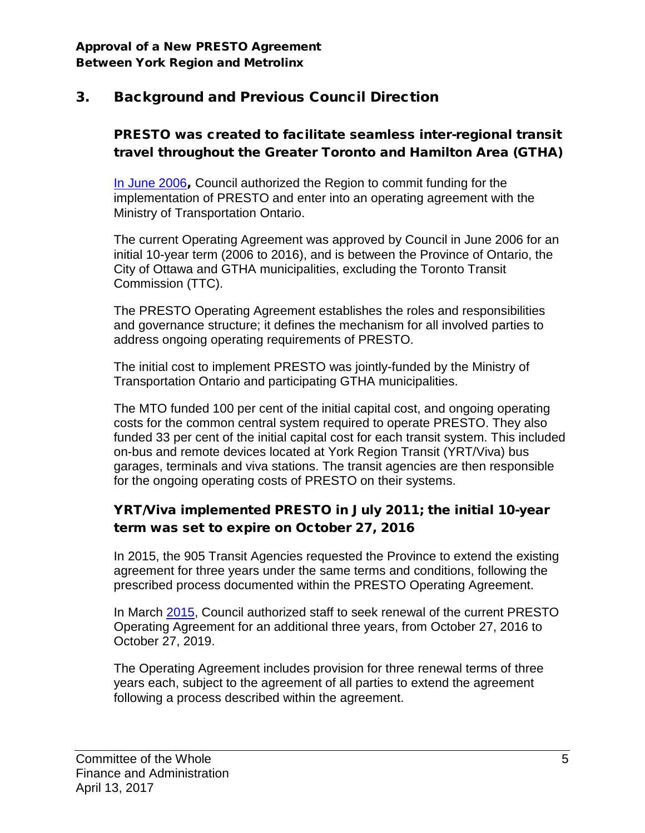# 3. Background and Previous Council Direction

## PRESTO was created to facilitate seamless inter-regional transit travel throughout the Greater Toronto and Hamilton Area (GTHA)

[In June 2006](http://archives.york.ca/councilcommitteearchives/pdf/rpt%205%20cls%209-21.pdf), Council authorized the Region to commit funding for the implementation of PRESTO and enter into an operating agreement with the Ministry of Transportation Ontario.

The current Operating Agreement was approved by Council in June 2006 for an initial 10-year term (2006 to 2016), and is between the Province of Ontario, the City of Ottawa and GTHA municipalities, excluding the Toronto Transit Commission (TTC).

The PRESTO Operating Agreement establishes the roles and responsibilities and governance structure; it defines the mechanism for all involved parties to address ongoing operating requirements of PRESTO.

The initial cost to implement PRESTO was jointly-funded by the Ministry of Transportation Ontario and participating GTHA municipalities.

The MTO funded 100 per cent of the initial capital cost, and ongoing operating costs for the common central system required to operate PRESTO. They also funded 33 per cent of the initial capital cost for each transit system. This included on-bus and remote devices located at York Region Transit (YRT/Viva) bus garages, terminals and viva stations. The transit agencies are then responsible for the ongoing operating costs of PRESTO on their systems.

# YRT/Viva implemented PRESTO in July 2011; the initial 10-year term was set to expire on October 27, 2016

In 2015, the 905 Transit Agencies requested the Province to extend the existing agreement for three years under the same terms and conditions, following the prescribed process documented within the PRESTO Operating Agreement.

[In March](http://www.york.ca/wps/wcm/connect/yorkpublic/df794f1b-a184-416f-b874-840dc96623f9/mar+5+presto+ex.pdf?MOD=AJPERES) 2015, Council authorized staff to seek renewal of the current PRESTO Operating Agreement for an additional three years, from October 27, 2016 to October 27, 2019.

The Operating Agreement includes provision for three renewal terms of three years each, subject to the agreement of all parties to extend the agreement following a process described within the agreement.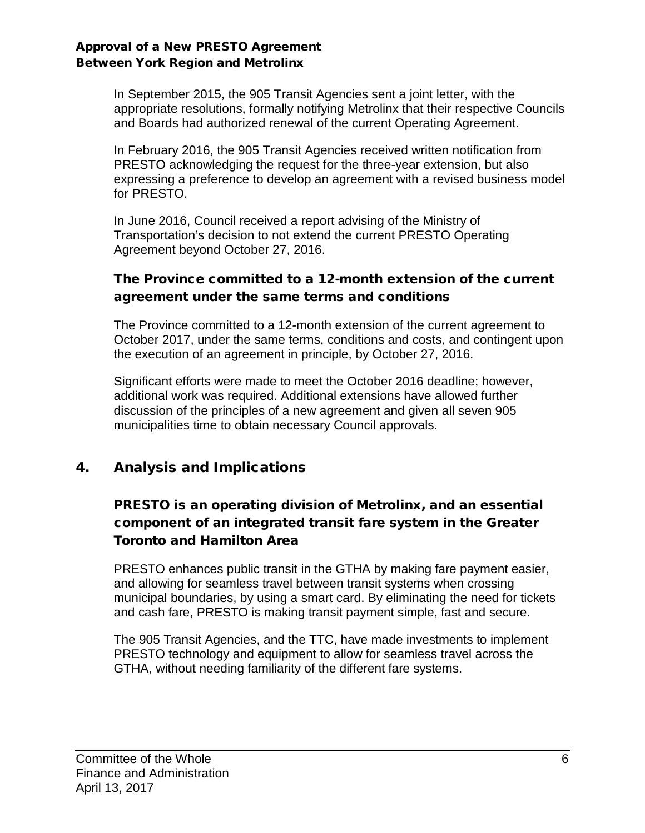In September 2015, the 905 Transit Agencies sent a joint letter, with the appropriate resolutions, formally notifying Metrolinx that their respective Councils and Boards had authorized renewal of the current Operating Agreement.

In February 2016, the 905 Transit Agencies received written notification from PRESTO acknowledging the request for the three-year extension, but also expressing a preference to develop an agreement with a revised business model for PRESTO.

In June 2016, Council received a report advising of the Ministry of Transportation's decision to not extend the current PRESTO Operating Agreement beyond October 27, 2016.

#### The Province committed to a 12-month extension of the current agreement under the same terms and conditions

The Province committed to a 12-month extension of the current agreement to October 2017, under the same terms, conditions and costs, and contingent upon the execution of an agreement in principle, by October 27, 2016.

Significant efforts were made to meet the October 2016 deadline; however, additional work was required. Additional extensions have allowed further discussion of the principles of a new agreement and given all seven 905 municipalities time to obtain necessary Council approvals.

## 4. Analysis and Implications

## PRESTO is an operating division of Metrolinx, and an essential component of an integrated transit fare system in the Greater Toronto and Hamilton Area

PRESTO enhances public transit in the GTHA by making fare payment easier, and allowing for seamless travel between transit systems when crossing municipal boundaries, by using a smart card. By eliminating the need for tickets and cash fare, PRESTO is making transit payment simple, fast and secure.

The 905 Transit Agencies, and the TTC, have made investments to implement PRESTO technology and equipment to allow for seamless travel across the GTHA, without needing familiarity of the different fare systems.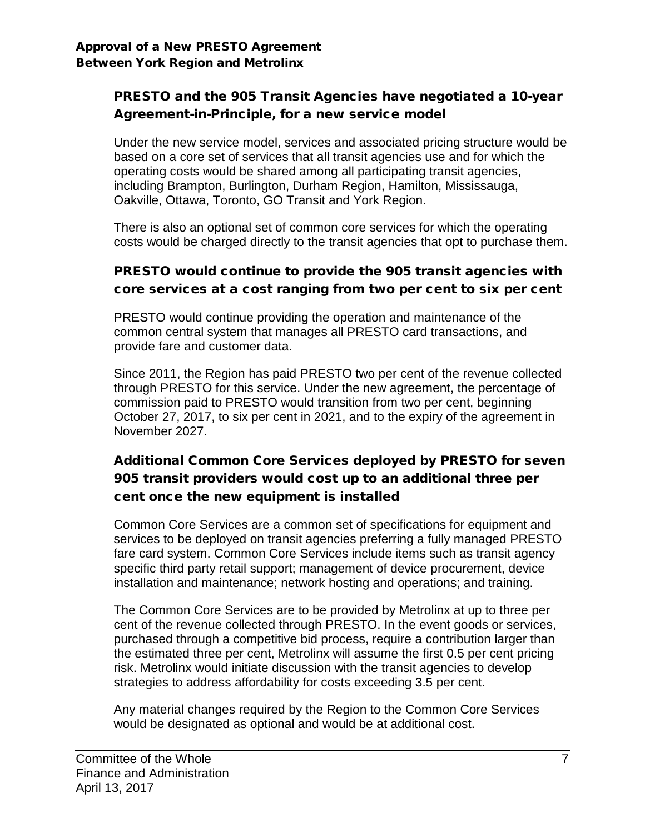### PRESTO and the 905 Transit Agencies have negotiated a 10-year Agreement-in-Principle, for a new service model

Under the new service model, services and associated pricing structure would be based on a core set of services that all transit agencies use and for which the operating costs would be shared among all participating transit agencies, including Brampton, Burlington, Durham Region, Hamilton, Mississauga, Oakville, Ottawa, Toronto, GO Transit and York Region.

There is also an optional set of common core services for which the operating costs would be charged directly to the transit agencies that opt to purchase them.

### PRESTO would continue to provide the 905 transit agencies with core services at a cost ranging from two per cent to six per cent

PRESTO would continue providing the operation and maintenance of the common central system that manages all PRESTO card transactions, and provide fare and customer data.

Since 2011, the Region has paid PRESTO two per cent of the revenue collected through PRESTO for this service. Under the new agreement, the percentage of commission paid to PRESTO would transition from two per cent, beginning October 27, 2017, to six per cent in 2021, and to the expiry of the agreement in November 2027.

# Additional Common Core Services deployed by PRESTO for seven 905 transit providers would cost up to an additional three per cent once the new equipment is installed

Common Core Services are a common set of specifications for equipment and services to be deployed on transit agencies preferring a fully managed PRESTO fare card system. Common Core Services include items such as transit agency specific third party retail support; management of device procurement, device installation and maintenance; network hosting and operations; and training.

The Common Core Services are to be provided by Metrolinx at up to three per cent of the revenue collected through PRESTO. In the event goods or services, purchased through a competitive bid process, require a contribution larger than the estimated three per cent, Metrolinx will assume the first 0.5 per cent pricing risk. Metrolinx would initiate discussion with the transit agencies to develop strategies to address affordability for costs exceeding 3.5 per cent.

Any material changes required by the Region to the Common Core Services would be designated as optional and would be at additional cost.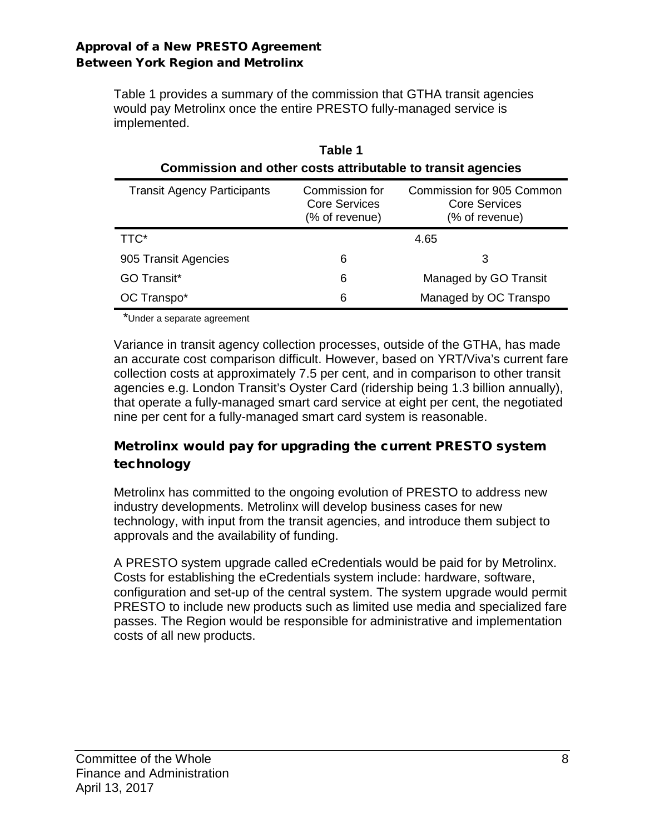Table 1 provides a summary of the commission that GTHA transit agencies would pay Metrolinx once the entire PRESTO fully-managed service is implemented.

| Commission and other costs attributable to transit agencies |                                                          |                                                              |  |  |  |
|-------------------------------------------------------------|----------------------------------------------------------|--------------------------------------------------------------|--|--|--|
| <b>Transit Agency Participants</b>                          | Commission for<br><b>Core Services</b><br>(% of revenue) | Commission for 905 Common<br>Core Services<br>(% of revenue) |  |  |  |
| TTC*                                                        |                                                          | 4.65                                                         |  |  |  |
| 905 Transit Agencies                                        | 6                                                        | 3                                                            |  |  |  |
| <b>GO Transit*</b>                                          | 6                                                        | Managed by GO Transit                                        |  |  |  |
| OC Transpo*                                                 | 6                                                        | Managed by OC Transpo                                        |  |  |  |

| Table 1                                                     |
|-------------------------------------------------------------|
| Commission and other costs attributable to transit agencies |

\*Under a separate agreement

Variance in transit agency collection processes, outside of the GTHA, has made an accurate cost comparison difficult. However, based on YRT/Viva's current fare collection costs at approximately 7.5 per cent, and in comparison to other transit agencies e.g. London Transit's Oyster Card (ridership being 1.3 billion annually), that operate a fully-managed smart card service at eight per cent, the negotiated nine per cent for a fully-managed smart card system is reasonable.

### Metrolinx would pay for upgrading the current PRESTO system technology

Metrolinx has committed to the ongoing evolution of PRESTO to address new industry developments. Metrolinx will develop business cases for new technology, with input from the transit agencies, and introduce them subject to approvals and the availability of funding.

A PRESTO system upgrade called eCredentials would be paid for by Metrolinx. Costs for establishing the eCredentials system include: hardware, software, configuration and set-up of the central system. The system upgrade would permit PRESTO to include new products such as limited use media and specialized fare passes. The Region would be responsible for administrative and implementation costs of all new products.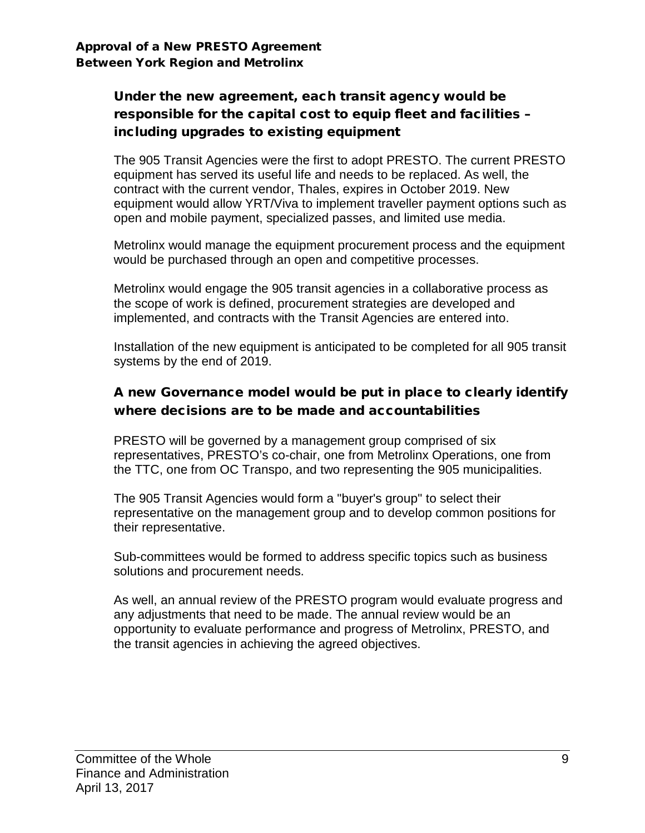# Under the new agreement, each transit agency would be responsible for the capital cost to equip fleet and facilities – including upgrades to existing equipment

The 905 Transit Agencies were the first to adopt PRESTO. The current PRESTO equipment has served its useful life and needs to be replaced. As well, the contract with the current vendor, Thales, expires in October 2019. New equipment would allow YRT/Viva to implement traveller payment options such as open and mobile payment, specialized passes, and limited use media.

Metrolinx would manage the equipment procurement process and the equipment would be purchased through an open and competitive processes.

Metrolinx would engage the 905 transit agencies in a collaborative process as the scope of work is defined, procurement strategies are developed and implemented, and contracts with the Transit Agencies are entered into.

Installation of the new equipment is anticipated to be completed for all 905 transit systems by the end of 2019.

### A new Governance model would be put in place to clearly identify where decisions are to be made and accountabilities

PRESTO will be governed by a management group comprised of six representatives, PRESTO's co-chair, one from Metrolinx Operations, one from the TTC, one from OC Transpo, and two representing the 905 municipalities.

The 905 Transit Agencies would form a "buyer's group" to select their representative on the management group and to develop common positions for their representative.

Sub-committees would be formed to address specific topics such as business solutions and procurement needs.

As well, an annual review of the PRESTO program would evaluate progress and any adjustments that need to be made. The annual review would be an opportunity to evaluate performance and progress of Metrolinx, PRESTO, and the transit agencies in achieving the agreed objectives.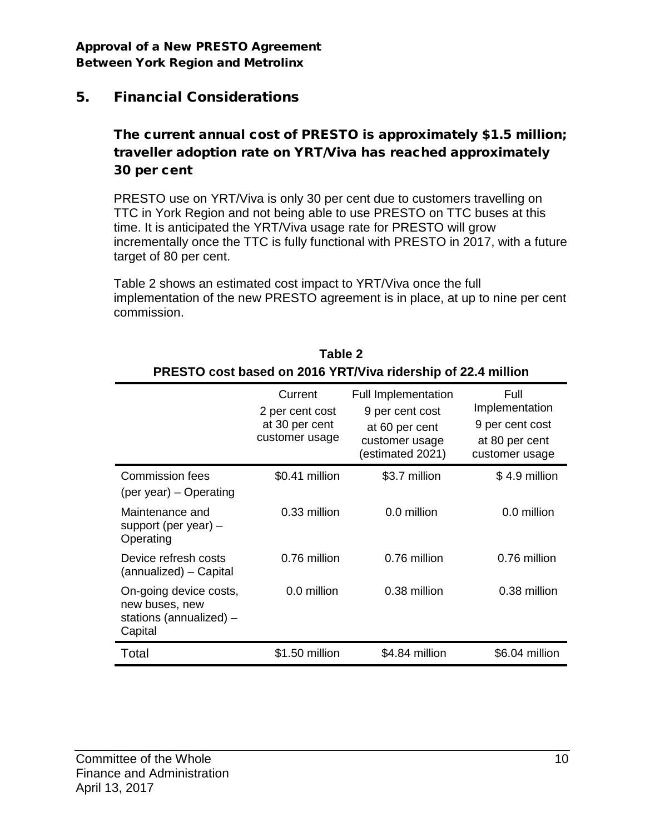## 5. Financial Considerations

## The current annual cost of PRESTO is approximately \$1.5 million; traveller adoption rate on YRT/Viva has reached approximately 30 per cent

PRESTO use on YRT/Viva is only 30 per cent due to customers travelling on TTC in York Region and not being able to use PRESTO on TTC buses at this time. It is anticipated the YRT/Viva usage rate for PRESTO will grow incrementally once the TTC is fully functional with PRESTO in 2017, with a future target of 80 per cent.

Table 2 shows an estimated cost impact to YRT/Viva once the full implementation of the new PRESTO agreement is in place, at up to nine per cent commission.

| <b>INLOTO COST DASCU OII ZUTU TINT/VIVA HUGISHIP OI ZZ.4 HIIIIIOH</b>          |                                                                |                                                                                                       |                                                                               |  |  |  |  |
|--------------------------------------------------------------------------------|----------------------------------------------------------------|-------------------------------------------------------------------------------------------------------|-------------------------------------------------------------------------------|--|--|--|--|
|                                                                                | Current<br>2 per cent cost<br>at 30 per cent<br>customer usage | <b>Full Implementation</b><br>9 per cent cost<br>at 60 per cent<br>customer usage<br>(estimated 2021) | Full<br>Implementation<br>9 per cent cost<br>at 80 per cent<br>customer usage |  |  |  |  |
| <b>Commission fees</b><br>(per year) – Operating                               | \$0.41 million                                                 | \$3.7 million                                                                                         | \$4.9 million                                                                 |  |  |  |  |
| Maintenance and<br>support (per year) –<br>Operating                           | 0.33 million                                                   | 0.0 million                                                                                           | 0.0 million                                                                   |  |  |  |  |
| Device refresh costs<br>(annualized) – Capital                                 | 0.76 million                                                   | 0.76 million                                                                                          | 0.76 million                                                                  |  |  |  |  |
| On-going device costs,<br>new buses, new<br>stations (annualized) -<br>Capital | 0.0 million                                                    | 0.38 million                                                                                          | 0.38 million                                                                  |  |  |  |  |
| Total                                                                          | \$1.50 million                                                 | \$4.84 million                                                                                        | \$6.04 million                                                                |  |  |  |  |

| Table 2                                                      |
|--------------------------------------------------------------|
| PRESTO cost based on 2016 YRT/Viva ridership of 22.4 million |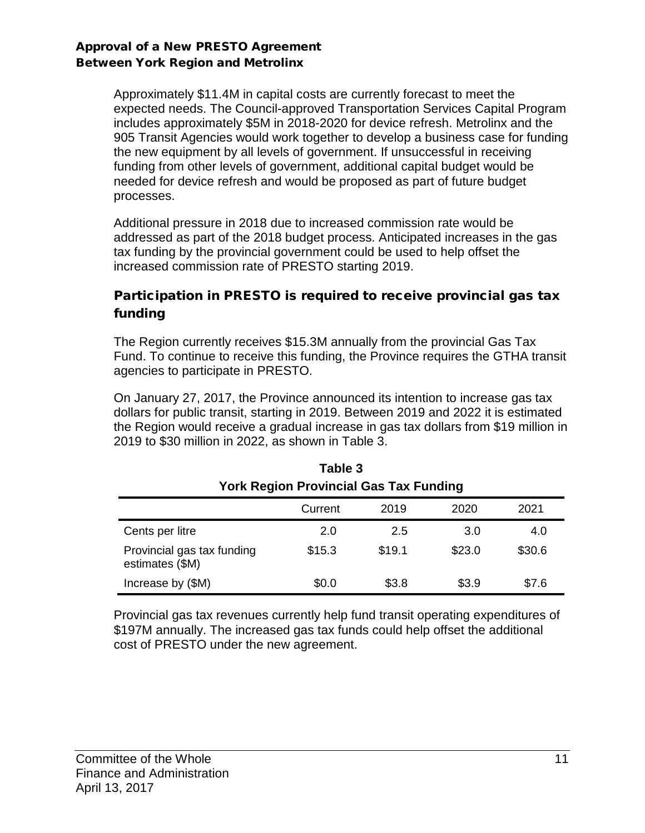Approximately \$11.4M in capital costs are currently forecast to meet the expected needs. The Council-approved Transportation Services Capital Program includes approximately \$5M in 2018-2020 for device refresh. Metrolinx and the 905 Transit Agencies would work together to develop a business case for funding the new equipment by all levels of government. If unsuccessful in receiving funding from other levels of government, additional capital budget would be needed for device refresh and would be proposed as part of future budget processes.

Additional pressure in 2018 due to increased commission rate would be addressed as part of the 2018 budget process. Anticipated increases in the gas tax funding by the provincial government could be used to help offset the increased commission rate of PRESTO starting 2019.

### Participation in PRESTO is required to receive provincial gas tax funding

The Region currently receives \$15.3M annually from the provincial Gas Tax Fund. To continue to receive this funding, the Province requires the GTHA transit agencies to participate in PRESTO.

On January 27, 2017, the Province announced its intention to increase gas tax dollars for public transit, starting in 2019. Between 2019 and 2022 it is estimated the Region would receive a gradual increase in gas tax dollars from \$19 million in 2019 to \$30 million in 2022, as shown in Table 3.

**Table 3**

| ט שושו<br><b>York Region Provincial Gas Tax Funding</b> |         |        |        |        |  |  |
|---------------------------------------------------------|---------|--------|--------|--------|--|--|
|                                                         | Current | 2019   | 2020   | 2021   |  |  |
| Cents per litre                                         | 2.0     | 2.5    | 3.0    | 4.0    |  |  |
| Provincial gas tax funding<br>estimates (\$M)           | \$15.3  | \$19.1 | \$23.0 | \$30.6 |  |  |
| Increase by (\$M)                                       | \$0.0   | \$3.8  | \$3.9  | \$7.6  |  |  |

Provincial gas tax revenues currently help fund transit operating expenditures of \$197M annually. The increased gas tax funds could help offset the additional cost of PRESTO under the new agreement.